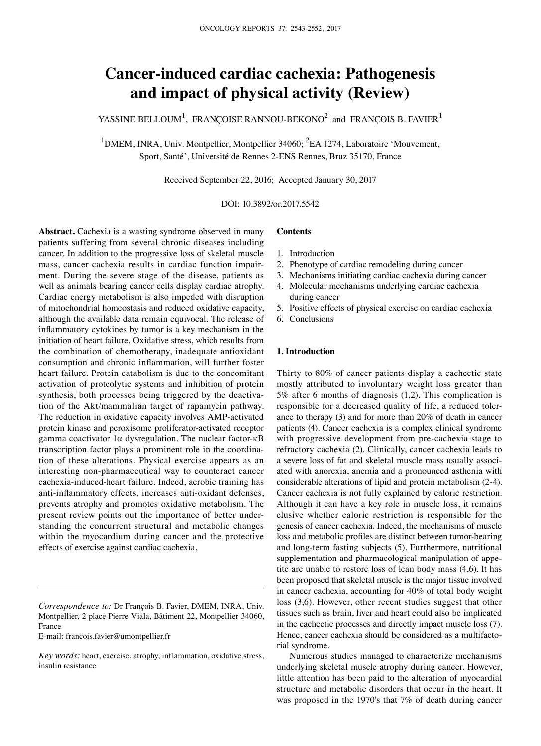# **Cancer-induced cardiac cachexia: pathogenesis and impact of physical activity (Review)**

YASSINE BELLOUM<sup>1</sup>, FRANÇOISE RANNOU-BEKONO<sup>2</sup> and FRANÇOIS B. FAVIER<sup>1</sup>

<sup>1</sup>DMEM, INRA, Univ. Montpellier, Montpellier 34060; <sup>2</sup>EA 1274, Laboratoire 'Mouvement, Sport, Santé', Université de Rennes 2-ENS Rennes, Bruz 35170, France

Received September 22, 2016; Accepted January 30, 2017

DOI: 10.3892/or.2017.5542

**Abstract.** Cachexia is a wasting syndrome observed in many patients suffering from several chronic diseases including cancer. In addition to the progressive loss of skeletal muscle mass, cancer cachexia results in cardiac function impairment. During the severe stage of the disease, patients as well as animals bearing cancer cells display cardiac atrophy. Cardiac energy metabolism is also impeded with disruption of mitochondrial homeostasis and reduced oxidative capacity, although the available data remain equivocal. The release of inflammatory cytokines by tumor is a key mechanism in the initiation of heart failure. Oxidative stress, which results from the combination of chemotherapy, inadequate antioxidant consumption and chronic inflammation, will further foster heart failure. Protein catabolism is due to the concomitant activation of proteolytic systems and inhibition of protein synthesis, both processes being triggered by the deactivation of the Akt/mammalian target of rapamycin pathway. The reduction in oxidative capacity involves AMP-activated protein kinase and peroxisome proliferator-activated receptor gamma coactivator 1α dysregulation. The nuclear factor-κB transcription factor plays a prominent role in the coordination of these alterations. Physical exercise appears as an interesting non-pharmaceutical way to counteract cancer cachexia-induced-heart failure. Indeed, aerobic training has anti-inflammatory effects, increases anti-oxidant defenses, prevents atrophy and promotes oxidative metabolism. The present review points out the importance of better understanding the concurrent structural and metabolic changes within the myocardium during cancer and the protective effects of exercise against cardiac cachexia.

E-mail: francois.favier@umontpellier.fr

# **Contents**

- 1. Introduction
- 2. Phenotype of cardiac remodeling during cancer
- 3. Mechanisms initiating cardiac cachexia during cancer
- 4. Molecular mechanisms underlying cardiac cachexia during cancer
- 5. Positive effects of physical exercise on cardiac cachexia
- 6. Conclusions

## **1. Introduction**

Thirty to 80% of cancer patients display a cachectic state mostly attributed to involuntary weight loss greater than 5% after 6 months of diagnosis (1,2). This complication is responsible for a decreased quality of life, a reduced tolerance to therapy (3) and for more than 20% of death in cancer patients (4). Cancer cachexia is a complex clinical syndrome with progressive development from pre-cachexia stage to refractory cachexia (2). Clinically, cancer cachexia leads to a severe loss of fat and skeletal muscle mass usually associated with anorexia, anemia and a pronounced asthenia with considerable alterations of lipid and protein metabolism (2-4). Cancer cachexia is not fully explained by caloric restriction. Although it can have a key role in muscle loss, it remains elusive whether caloric restriction is responsible for the genesis of cancer cachexia. Indeed, the mechanisms of muscle loss and metabolic profiles are distinct between tumor-bearing and long-term fasting subjects (5). Furthermore, nutritional supplementation and pharmacological manipulation of appetite are unable to restore loss of lean body mass (4,6). It has been proposed that skeletal muscle is the major tissue involved in cancer cachexia, accounting for 40% of total body weight loss (3,6). However, other recent studies suggest that other tissues such as brain, liver and heart could also be implicated in the cachectic processes and directly impact muscle loss (7). Hence, cancer cachexia should be considered as a multifactorial syndrome.

Numerous studies managed to characterize mechanisms underlying skeletal muscle atrophy during cancer. However, little attention has been paid to the alteration of myocardial structure and metabolic disorders that occur in the heart. It was proposed in the 1970's that 7% of death during cancer

*Correspondence to:* Dr François B. Favier, DMEM, INRA, Univ. Montpellier, 2 place Pierre Viala, Bâtiment 22, Montpellier 34060, France

*Key words:* heart, exercise, atrophy, inflammation, oxidative stress, insulin resistance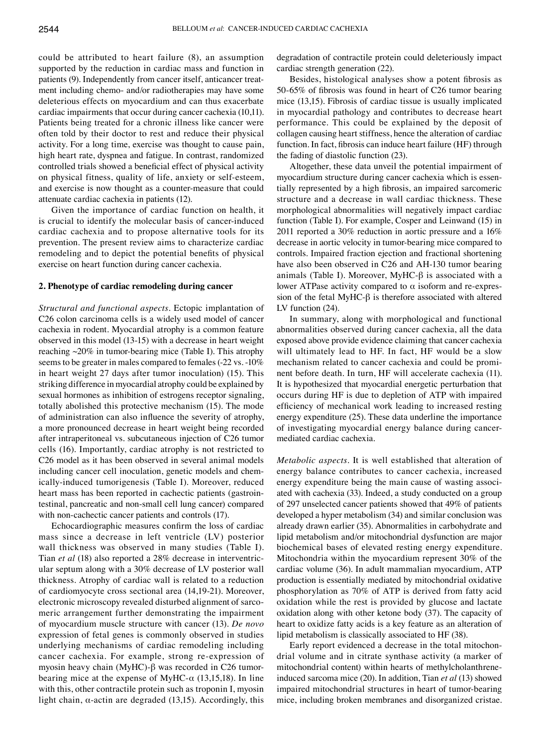could be attributed to heart failure (8), an assumption supported by the reduction in cardiac mass and function in patients (9). Independently from cancer itself, anticancer treatment including chemo- and/or radiotherapies may have some deleterious effects on myocardium and can thus exacerbate cardiac impairments that occur during cancer cachexia (10,11). Patients being treated for a chronic illness like cancer were often told by their doctor to rest and reduce their physical activity. For a long time, exercise was thought to cause pain, high heart rate, dyspnea and fatigue. In contrast, randomized controlled trials showed a beneficial effect of physical activity on physical fitness, quality of life, anxiety or self-esteem, and exercise is now thought as a counter-measure that could attenuate cardiac cachexia in patients (12).

Given the importance of cardiac function on health, it is crucial to identify the molecular basis of cancer-induced cardiac cachexia and to propose alternative tools for its prevention. The present review aims to characterize cardiac remodeling and to depict the potential benefits of physical exercise on heart function during cancer cachexia.

## **2. Phenotype of cardiac remodeling during cancer**

*Structural and functional aspects.* Ectopic implantation of C26 colon carcinoma cells is a widely used model of cancer cachexia in rodent. Myocardial atrophy is a common feature observed in this model (13-15) with a decrease in heart weight reaching ~20% in tumor-bearing mice (Table I). This atrophy seems to be greater in males compared to females (-22 vs. -10% in heart weight 27 days after tumor inoculation) (15). This striking difference in myocardial atrophy could be explained by sexual hormones as inhibition of estrogens receptor signaling, totally abolished this protective mechanism (15). The mode of administration can also influence the severity of atrophy, a more pronounced decrease in heart weight being recorded after intraperitoneal vs. subcutaneous injection of C26 tumor cells (16). Importantly, cardiac atrophy is not restricted to C26 model as it has been observed in several animal models including cancer cell inoculation, genetic models and chemically-induced tumorigenesis (Table I). Moreover, reduced heart mass has been reported in cachectic patients (gastrointestinal, pancreatic and non-small cell lung cancer) compared with non-cachectic cancer patients and controls (17).

Echocardiographic measures confirm the loss of cardiac mass since a decrease in left ventricle (LV) posterior wall thickness was observed in many studies (Table I). Tian *et al* (18) also reported a 28% decrease in interventricular septum along with a 30% decrease of LV posterior wall thickness. Atrophy of cardiac wall is related to a reduction of cardiomyocyte cross sectional area (14,19-21). Moreover, electronic microscopy revealed disturbed alignment of sarcomeric arrangement further demonstrating the impairment of myocardium muscle structure with cancer (13). *De novo* expression of fetal genes is commonly observed in studies underlying mechanisms of cardiac remodeling including cancer cachexia. For example, strong re-expression of myosin heavy chain (MyHC)-β was recorded in C26 tumorbearing mice at the expense of MyHC- $\alpha$  (13,15,18). In line with this, other contractile protein such as troponin I, myosin light chain,  $\alpha$ -actin are degraded (13,15). Accordingly, this degradation of contractile protein could deleteriously impact cardiac strength generation (22).

Besides, histological analyses show a potent fibrosis as 50-65% of fibrosis was found in heart of C26 tumor bearing mice (13,15). Fibrosis of cardiac tissue is usually implicated in myocardial pathology and contributes to decrease heart performance. This could be explained by the deposit of collagen causing heart stiffness, hence the alteration of cardiac function. In fact, fibrosis can induce heart failure (HF) through the fading of diastolic function (23).

Altogether, these data unveil the potential impairment of myocardium structure during cancer cachexia which is essentially represented by a high fibrosis, an impaired sarcomeric structure and a decrease in wall cardiac thickness. These morphological abnormalities will negatively impact cardiac function (Table I). For example, Cosper and Leinwand (15) in 2011 reported a 30% reduction in aortic pressure and a 16% decrease in aortic velocity in tumor-bearing mice compared to controls. Impaired fraction ejection and fractional shortening have also been observed in C26 and AH-130 tumor bearing animals (Table I). Moreover, MyHC-β is associated with a lower ATPase activity compared to  $α$  isoform and re-expression of the fetal MyHC-β is therefore associated with altered LV function  $(24)$ .

In summary, along with morphological and functional abnormalities observed during cancer cachexia, all the data exposed above provide evidence claiming that cancer cachexia will ultimately lead to HF. In fact, HF would be a slow mechanism related to cancer cachexia and could be prominent before death. In turn, HF will accelerate cachexia (11). It is hypothesized that myocardial energetic perturbation that occurs during HF is due to depletion of ATP with impaired efficiency of mechanical work leading to increased resting energy expenditure (25). These data underline the importance of investigating myocardial energy balance during cancermediated cardiac cachexia.

*Metabolic aspects.* It is well established that alteration of energy balance contributes to cancer cachexia, increased energy expenditure being the main cause of wasting associated with cachexia (33). Indeed, a study conducted on a group of 297 unselected cancer patients showed that 49% of patients developed a hyper metabolism (34) and similar conclusion was already drawn earlier (35). Abnormalities in carbohydrate and lipid metabolism and/or mitochondrial dysfunction are major biochemical bases of elevated resting energy expenditure. Mitochondria within the myocardium represent 30% of the cardiac volume (36). In adult mammalian myocardium, ATP production is essentially mediated by mitochondrial oxidative phosphorylation as 70% of ATP is derived from fatty acid oxidation while the rest is provided by glucose and lactate oxidation along with other ketone body (37). The capacity of heart to oxidize fatty acids is a key feature as an alteration of lipid metabolism is classically associated to HF (38).

Early report evidenced a decrease in the total mitochondrial volume and in citrate synthase activity (a marker of mitochondrial content) within hearts of methylcholanthreneinduced sarcoma mice (20). In addition, Tian *et al* (13) showed impaired mitochondrial structures in heart of tumor-bearing mice, including broken membranes and disorganized cristae.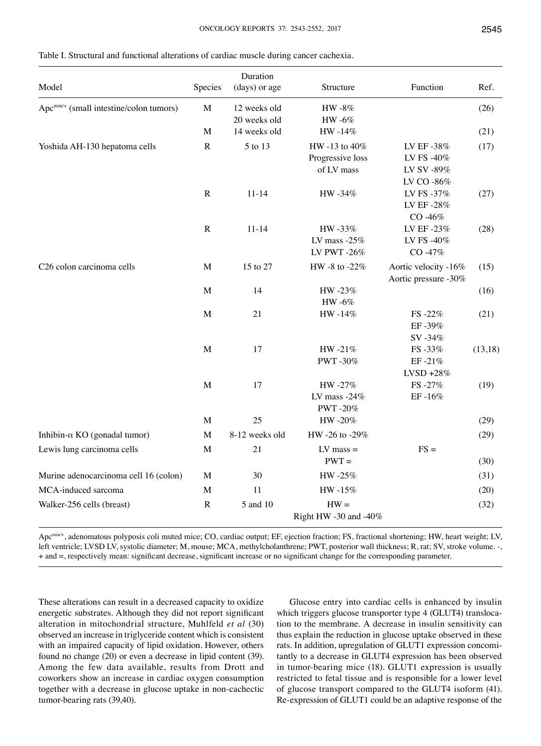| Model                                               | Species     | Duration<br>(days) or age    | Structure                                       | Function                                             | Ref.    |
|-----------------------------------------------------|-------------|------------------------------|-------------------------------------------------|------------------------------------------------------|---------|
| Apc <sup>min/+</sup> (small intestine/colon tumors) | $\mathbf M$ | 12 weeks old<br>20 weeks old | HW -8%<br>HW -6%                                |                                                      | (26)    |
|                                                     | $\mathbf M$ | 14 weeks old                 | HW-14%                                          |                                                      | (21)    |
| Yoshida AH-130 hepatoma cells                       | ${\bf R}$   | 5 to 13                      | HW -13 to 40%<br>Progressive loss<br>of LV mass | LV EF -38%<br>LV FS -40%<br>LV SV -89%<br>LV CO -86% | (17)    |
|                                                     | $\mathbf R$ | $11 - 14$                    | HW -34%                                         | LV FS -37%<br>LV EF-28%<br>CO-46%                    | (27)    |
|                                                     | ${\bf R}$   | $11 - 14$                    | HW-33%<br>LV mass $-25%$<br>LV PWT-26%          | LV EF-23%<br>LV FS -40%<br>CO-47%                    | (28)    |
| C26 colon carcinoma cells                           | M           | 15 to 27                     | HW -8 to -22%                                   | Aortic velocity -16%<br>Aortic pressure -30%         | (15)    |
|                                                     | M           | 14                           | HW-23%<br>HW -6%                                |                                                      | (16)    |
|                                                     | M           | 21                           | HW-14%                                          | FS-22%<br>EF-39%<br>SV-34%                           | (21)    |
|                                                     | M           | 17                           | HW-21%<br>PWT-30%                               | FS-33%<br>EF-21%<br>$LVSD + 28%$                     | (13,18) |
|                                                     | $\mathbf M$ | 17                           | HW-27%<br>LV mass $-24\%$<br>PWT-20%            | FS-27%<br>EF-16%                                     | (19)    |
|                                                     | $\mathbf M$ | 25                           | HW-20%                                          |                                                      | (29)    |
| Inhibin- $\alpha$ KO (gonadal tumor)                | $\mathbf M$ | 8-12 weeks old               | HW -26 to -29%                                  |                                                      | (29)    |
| Lewis lung carcinoma cells                          | $\mathbf M$ | 21                           | $LV$ mass $=$<br>$PWT =$                        | $FS =$                                               | (30)    |
| Murine adenocarcinoma cell 16 (colon)               | $\mathbf M$ | 30                           | HW-25%                                          |                                                      | (31)    |
| MCA-induced sarcoma                                 | M           | 11                           | HW-15%                                          |                                                      | (20)    |
| Walker-256 cells (breast)                           | ${\bf R}$   | 5 and 10                     | $HW =$<br>Right HW -30 and -40%                 |                                                      | (32)    |

Table I. Structural and functional alterations of cardiac muscle during cancer cachexia.

Apc<sup>min/+</sup>, adenomatous polyposis coli muted mice; CO, cardiac output; EF, ejection fraction; FS, fractional shortening; HW, heart weight; LV, left ventricle; LVSD LV, systolic diameter; M, mouse; MCA, methylcholanthrene; PWT, posterior wall thickness; R, rat; SV, stroke volume. -, + and =, respectively mean: significant decrease, significant increase or no significant change for the corresponding parameter.

These alterations can result in a decreased capacity to oxidize energetic substrates. Although they did not report significant alteration in mitochondrial structure, Muhlfeld *et al* (30) observed an increase in triglyceride content which is consistent with an impaired capacity of lipid oxidation. However, others found no change (20) or even a decrease in lipid content (39). Among the few data available, results from Drott and coworkers show an increase in cardiac oxygen consumption together with a decrease in glucose uptake in non-cachectic tumor-bearing rats (39,40).

Glucose entry into cardiac cells is enhanced by insulin which triggers glucose transporter type 4 (GLUT4) translocation to the membrane. A decrease in insulin sensitivity can thus explain the reduction in glucose uptake observed in these rats. In addition, upregulation of GLUT1 expression concomitantly to a decrease in GLUT4 expression has been observed in tumor-bearing mice (18). GLUT1 expression is usually restricted to fetal tissue and is responsible for a lower level of glucose transport compared to the GLUT4 isoform (41). Re-expression of GLUT1 could be an adaptive response of the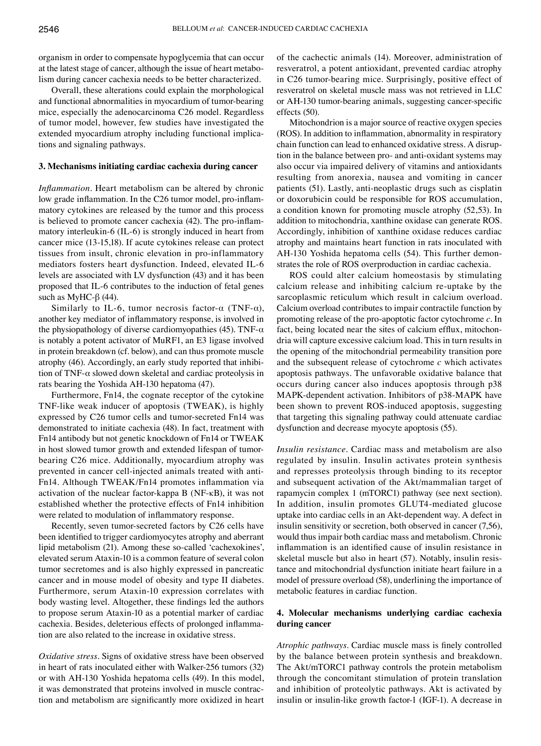organism in order to compensate hypoglycemia that can occur at the latest stage of cancer, although the issue of heart metabolism during cancer cachexia needs to be better characterized.

Overall, these alterations could explain the morphological and functional abnormalities in myocardium of tumor-bearing mice, especially the adenocarcinoma C26 model. Regardless of tumor model, however, few studies have investigated the extended myocardium atrophy including functional implications and signaling pathways.

### **3. Mechanisms initiating cardiac cachexia during cancer**

*Inflammation*. Heart metabolism can be altered by chronic low grade inflammation. In the C26 tumor model, pro-inflammatory cytokines are released by the tumor and this process is believed to promote cancer cachexia (42). The pro-inflammatory interleukin-6 (IL-6) is strongly induced in heart from cancer mice (13-15,18). If acute cytokines release can protect tissues from insult, chronic elevation in pro-inflammatory mediators fosters heart dysfunction. Indeed, elevated IL-6 levels are associated with LV dysfunction (43) and it has been proposed that IL-6 contributes to the induction of fetal genes such as MyHC- $β$  (44).

Similarly to IL-6, tumor necrosis factor- $\alpha$  (TNF- $\alpha$ ), another key mediator of inflammatory response, is involved in the physiopathology of diverse cardiomyopathies (45). TNF- $\alpha$ is notably a potent activator of MuRF1, an E3 ligase involved in protein breakdown (cf. below), and can thus promote muscle atrophy (46). Accordingly, an early study reported that inhibition of TNF-α slowed down skeletal and cardiac proteolysis in rats bearing the Yoshida AH-130 hepatoma (47).

Furthermore, Fn14, the cognate receptor of the cytokine TNF-like weak inducer of apoptosis (TWEAK), is highly expressed by C26 tumor cells and tumor-secreted Fn14 was demonstrated to initiate cachexia (48). In fact, treatment with Fn14 antibody but not genetic knockdown of Fn14 or TWEAK in host slowed tumor growth and extended lifespan of tumorbearing C26 mice. Additionally, myocardium atrophy was prevented in cancer cell-injected animals treated with anti-Fn14. Although TWEAK/Fn14 promotes inflammation via activation of the nuclear factor-kappa B (NF-κB), it was not established whether the protective effects of Fn14 inhibition were related to modulation of inflammatory response.

Recently, seven tumor-secreted factors by C26 cells have been identified to trigger cardiomyocytes atrophy and aberrant lipid metabolism (21). Among these so-called 'cachexokines', elevated serum Ataxin-10 is a common feature of several colon tumor secretomes and is also highly expressed in pancreatic cancer and in mouse model of obesity and type II diabetes. Furthermore, serum Ataxin-10 expression correlates with body wasting level. Altogether, these findings led the authors to propose serum Ataxin-10 as a potential marker of cardiac cachexia. Besides, deleterious effects of prolonged inflammation are also related to the increase in oxidative stress.

*Oxidative stress.* Signs of oxidative stress have been observed in heart of rats inoculated either with Walker-256 tumors (32) or with AH-130 Yoshida hepatoma cells (49). In this model, it was demonstrated that proteins involved in muscle contraction and metabolism are significantly more oxidized in heart of the cachectic animals (14). Moreover, administration of resveratrol, a potent antioxidant, prevented cardiac atrophy in C26 tumor-bearing mice. Surprisingly, positive effect of resveratrol on skeletal muscle mass was not retrieved in LLC or AH-130 tumor-bearing animals, suggesting cancer-specific effects (50).

Mitochondrion is a major source of reactive oxygen species (ROS). In addition to inflammation, abnormality in respiratory chain function can lead to enhanced oxidative stress. A disruption in the balance between pro- and anti-oxidant systems may also occur via impaired delivery of vitamins and antioxidants resulting from anorexia, nausea and vomiting in cancer patients (51). Lastly, anti-neoplastic drugs such as cisplatin or doxorubicin could be responsible for ROS accumulation, a condition known for promoting muscle atrophy (52,53). In addition to mitochondria, xanthine oxidase can generate ROS. Accordingly, inhibition of xanthine oxidase reduces cardiac atrophy and maintains heart function in rats inoculated with AH-130 Yoshida hepatoma cells (54). This further demonstrates the role of ROS overproduction in cardiac cachexia.

ROS could alter calcium homeostasis by stimulating calcium release and inhibiting calcium re-uptake by the sarcoplasmic reticulum which result in calcium overload. Calcium overload contributes to impair contractile function by promoting release of the pro-apoptotic factor cytochrome *c*. In fact, being located near the sites of calcium efflux, mitochondria will capture excessive calcium load. This in turn results in the opening of the mitochondrial permeability transition pore and the subsequent release of cytochrome *c* which activates apoptosis pathways. The unfavorable oxidative balance that occurs during cancer also induces apoptosis through p38 MAPK-dependent activation. Inhibitors of p38-MAPK have been shown to prevent ROS-induced apoptosis, suggesting that targeting this signaling pathway could attenuate cardiac dysfunction and decrease myocyte apoptosis (55).

*Insulin resistance*. Cardiac mass and metabolism are also regulated by insulin. Insulin activates protein synthesis and represses proteolysis through binding to its receptor and subsequent activation of the Akt/mammalian target of rapamycin complex 1 (mTORC1) pathway (see next section). In addition, insulin promotes GLUT4-mediated glucose uptake into cardiac cells in an Akt-dependent way. A defect in insulin sensitivity or secretion, both observed in cancer (7,56), would thus impair both cardiac mass and metabolism. Chronic inflammation is an identified cause of insulin resistance in skeletal muscle but also in heart (57). Notably, insulin resistance and mitochondrial dysfunction initiate heart failure in a model of pressure overload (58), underlining the importance of metabolic features in cardiac function.

# **4. Molecular mechanisms underlying cardiac cachexia during cancer**

*Atrophic pathways*. Cardiac muscle mass is finely controlled by the balance between protein synthesis and breakdown. The Akt/mTORC1 pathway controls the protein metabolism through the concomitant stimulation of protein translation and inhibition of proteolytic pathways. Akt is activated by insulin or insulin-like growth factor-1 (IGF-1). A decrease in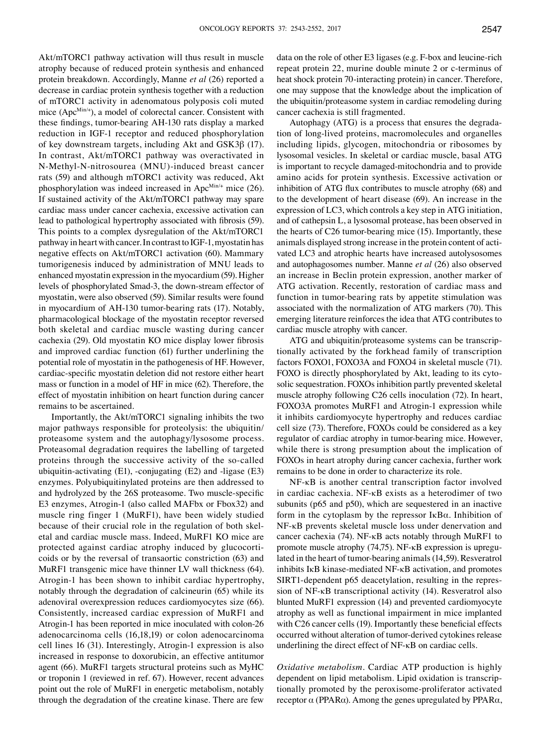Akt/mTORC1 pathway activation will thus result in muscle atrophy because of reduced protein synthesis and enhanced protein breakdown. Accordingly, Manne *et al* (26) reported a decrease in cardiac protein synthesis together with a reduction of mTORC1 activity in adenomatous polyposis coli muted mice  $(Apc^{Min/4})$ , a model of colorectal cancer. Consistent with these findings, tumor-bearing AH-130 rats display a marked reduction in IGF-1 receptor and reduced phosphorylation of key downstream targets, including Akt and GSK3β (17). In contrast, Akt/mTORC1 pathway was overactivated in N-Methyl-N-nitrosourea (MNU)-induced breast cancer rats (59) and although mTORC1 activity was reduced, Akt phosphorylation was indeed increased in Apc<sup>Min/+</sup> mice (26). If sustained activity of the Akt/mTORC1 pathway may spare cardiac mass under cancer cachexia, excessive activation can lead to pathological hypertrophy associated with fibrosis (59). This points to a complex dysregulation of the Akt/mTORC1 pathway in heart with cancer. In contrast to IGF-1, myostatin has negative effects on Akt/mTORC1 activation (60). Mammary tumorigenesis induced by administration of MNU leads to enhanced myostatin expression in the myocardium (59). Higher levels of phosphorylated Smad-3, the down-stream effector of myostatin, were also observed (59). Similar results were found in myocardium of AH-130 tumor-bearing rats (17). Notably, pharmacological blockage of the myostatin receptor reversed both skeletal and cardiac muscle wasting during cancer cachexia (29). Old myostatin KO mice display lower fibrosis and improved cardiac function (61) further underlining the potential role of myostatin in the pathogenesis of HF. However, cardiac-specific myostatin deletion did not restore either heart mass or function in a model of HF in mice (62). Therefore, the effect of myostatin inhibition on heart function during cancer remains to be ascertained.

Importantly, the Akt/mTORC1 signaling inhibits the two major pathways responsible for proteolysis: the ubiquitin/ proteasome system and the autophagy/lysosome process. Proteasomal degradation requires the labelling of targeted proteins through the successive activity of the so-called ubiquitin-activating (E1), -conjugating (E2) and -ligase (E3) enzymes. Polyubiquitinylated proteins are then addressed to and hydrolyzed by the 26S proteasome. Two muscle-specific E3 enzymes, Atrogin-1 (also called MAFbx or Fbox32) and muscle ring finger 1 (MuRF1), have been widely studied because of their crucial role in the regulation of both skeletal and cardiac muscle mass. Indeed, MuRF1 KO mice are protected against cardiac atrophy induced by glucocorticoids or by the reversal of transaortic constriction (63) and MuRF1 transgenic mice have thinner LV wall thickness (64). Atrogin-1 has been shown to inhibit cardiac hypertrophy, notably through the degradation of calcineurin (65) while its adenoviral overexpression reduces cardiomyocytes size (66). Consistently, increased cardiac expression of MuRF1 and Atrogin-1 has been reported in mice inoculated with colon-26 adenocarcinoma cells (16,18,19) or colon adenocarcinoma cell lines 16 (31). Interestingly, Atrogin-1 expression is also increased in response to doxorubicin, an effective antitumor agent (66). MuRF1 targets structural proteins such as MyHC or troponin 1 (reviewed in ref. 67). However, recent advances point out the role of MuRF1 in energetic metabolism, notably through the degradation of the creatine kinase. There are few

data on the role of other E3 ligases (e.g. F-box and leucine-rich repeat protein 22, murine double minute 2 or c-terminus of heat shock protein 70-interacting protein) in cancer. Therefore, one may suppose that the knowledge about the implication of the ubiquitin/proteasome system in cardiac remodeling during cancer cachexia is still fragmented.

Autophagy (ATG) is a process that ensures the degradation of long-lived proteins, macromolecules and organelles including lipids, glycogen, mitochondria or ribosomes by lysosomal vesicles. In skeletal or cardiac muscle, basal ATG is important to recycle damaged-mitochondria and to provide amino acids for protein synthesis. Excessive activation or inhibition of ATG flux contributes to muscle atrophy (68) and to the development of heart disease (69). An increase in the expression of LC3, which controls a key step in ATG initiation, and of cathepsin L, a lysosomal protease, has been observed in the hearts of C26 tumor-bearing mice (15). Importantly, these animals displayed strong increase in the protein content of activated LC3 and atrophic hearts have increased autolysosomes and autophagosomes number. Manne *et al* (26) also observed an increase in Beclin protein expression, another marker of ATG activation. Recently, restoration of cardiac mass and function in tumor-bearing rats by appetite stimulation was associated with the normalization of ATG markers (70). This emerging literature reinforces the idea that ATG contributes to cardiac muscle atrophy with cancer.

ATG and ubiquitin/proteasome systems can be transcriptionally activated by the forkhead family of transcription factors FOXO1, FOXO3A and FOXO4 in skeletal muscle (71). FOXO is directly phosphorylated by Akt, leading to its cytosolic sequestration. FOXOs inhibition partly prevented skeletal muscle atrophy following C26 cells inoculation (72). In heart, FOXO3A promotes MuRF1 and Atrogin-1 expression while it inhibits cardiomyocyte hypertrophy and reduces cardiac cell size (73). Therefore, FOXOs could be considered as a key regulator of cardiac atrophy in tumor-bearing mice. However, while there is strong presumption about the implication of FOXOs in heart atrophy during cancer cachexia, further work remains to be done in order to characterize its role.

NF-κB is another central transcription factor involved in cardiac cachexia. NF-κB exists as a heterodimer of two subunits (p65 and p50), which are sequestered in an inactive form in the cytoplasm by the repressor IκBα. Inhibition of NF-κB prevents skeletal muscle loss under denervation and cancer cachexia (74). NF-κB acts notably through MuRF1 to promote muscle atrophy (74,75). NF-κB expression is upregulated in the heart of tumor-bearing animals (14,59). Resveratrol inhibits IκB kinase-mediated NF-κB activation, and promotes SIRT1-dependent p65 deacetylation, resulting in the repression of NF-κB transcriptional activity (14). Resveratrol also blunted MuRF1 expression (14) and prevented cardiomyocyte atrophy as well as functional impairment in mice implanted with C26 cancer cells (19). Importantly these beneficial effects occurred without alteration of tumor-derived cytokines release underlining the direct effect of NF-κB on cardiac cells.

*Oxidative metabolism*. Cardiac ATP production is highly dependent on lipid metabolism. Lipid oxidation is transcriptionally promoted by the peroxisome-proliferator activated receptor  $\alpha$  (PPARα). Among the genes upregulated by PPARα,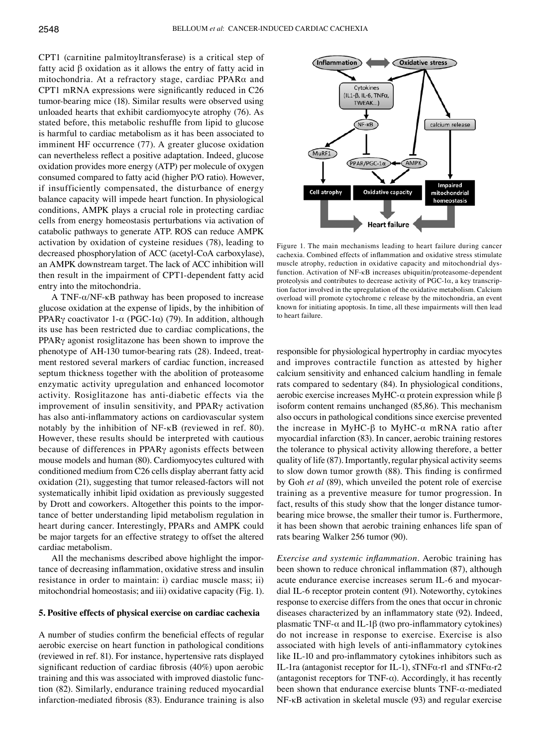CPT1 (carnitine palmitoyltransferase) is a critical step of fatty acid β oxidation as it allows the entry of fatty acid in mitochondria. At a refractory stage, cardiac PPARα and CPT1 mRNA expressions were significantly reduced in C26 tumor-bearing mice (18). Similar results were observed using unloaded hearts that exhibit cardiomyocyte atrophy (76). As stated before, this metabolic reshuffle from lipid to glucose is harmful to cardiac metabolism as it has been associated to imminent HF occurrence (77). A greater glucose oxidation can nevertheless reflect a positive adaptation. Indeed, glucose oxidation provides more energy (ATP) per molecule of oxygen consumed compared to fatty acid (higher P/O ratio). However, if insufficiently compensated, the disturbance of energy balance capacity will impede heart function. In physiological conditions, AMPK plays a crucial role in protecting cardiac cells from energy homeostasis perturbations via activation of catabolic pathways to generate ATP. ROS can reduce AMPK activation by oxidation of cysteine residues (78), leading to decreased phosphorylation of ACC (acetyl-CoA carboxylase), an AMPK downstream target. The lack of ACC inhibition will then result in the impairment of CPT1-dependent fatty acid entry into the mitochondria.

A TNF-α/NF-κB pathway has been proposed to increase glucose oxidation at the expense of lipids, by the inhibition of PPARγ coactivator 1-α (PGC-1α) (79). In addition, although its use has been restricted due to cardiac complications, the PPARγ agonist rosiglitazone has been shown to improve the phenotype of AH-130 tumor-bearing rats (28). Indeed, treatment restored several markers of cardiac function, increased septum thickness together with the abolition of proteasome enzymatic activity upregulation and enhanced locomotor activity. Rosiglitazone has anti-diabetic effects via the improvement of insulin sensitivity, and PPARγ activation has also anti-inflammatory actions on cardiovascular system notably by the inhibition of NF-κB (reviewed in ref. 80). However, these results should be interpreted with cautious because of differences in PPARγ agonists effects between mouse models and human (80). Cardiomyocytes cultured with conditioned medium from C26 cells display aberrant fatty acid oxidation (21), suggesting that tumor released-factors will not systematically inhibit lipid oxidation as previously suggested by Drott and coworkers. Altogether this points to the importance of better understanding lipid metabolism regulation in heart during cancer. Interestingly, PPARs and AMPK could be major targets for an effective strategy to offset the altered cardiac metabolism.

All the mechanisms described above highlight the importance of decreasing inflammation, oxidative stress and insulin resistance in order to maintain: i) cardiac muscle mass; ii) mitochondrial homeostasis; and iii) oxidative capacity (Fig. 1).

#### **5. Positive effects of physical exercise on cardiac cachexia**

A number of studies confirm the beneficial effects of regular aerobic exercise on heart function in pathological conditions (reviewed in ref. 81). For instance, hypertensive rats displayed significant reduction of cardiac fibrosis (40%) upon aerobic training and this was associated with improved diastolic function (82). Similarly, endurance training reduced myocardial infarction-mediated fibrosis (83). Endurance training is also



Figure 1. The main mechanisms leading to heart failure during cancer cachexia. Combined effects of inflammation and oxidative stress stimulate muscle atrophy, reduction in oxidative capacity and mitochondrial dysfunction. Activation of NF-κB increases ubiquitin/proteasome-dependent proteolysis and contributes to decrease activity of  $PGC-1\alpha$ , a key transcription factor involved in the upregulation of the oxidative metabolism. Calcium overload will promote cytochrome c release by the mitochondria, an event known for initiating apoptosis. In time, all these impairments will then lead to heart failure.

responsible for physiological hypertrophy in cardiac myocytes and improves contractile function as attested by higher calcium sensitivity and enhanced calcium handling in female rats compared to sedentary (84). In physiological conditions, aerobic exercise increases MyHC-α protein expression while β isoform content remains unchanged (85,86). This mechanism also occurs in pathological conditions since exercise prevented the increase in MyHC-β to MyHC-α mRNA ratio after myocardial infarction (83). In cancer, aerobic training restores the tolerance to physical activity allowing therefore, a better quality of life (87). Importantly, regular physical activity seems to slow down tumor growth (88). This finding is confirmed by Goh *et al* (89), which unveiled the potent role of exercise training as a preventive measure for tumor progression. In fact, results of this study show that the longer distance tumorbearing mice browse, the smaller their tumor is. Furthermore, it has been shown that aerobic training enhances life span of rats bearing Walker 256 tumor (90).

*Exercise and systemic inflammation*. Aerobic training has been shown to reduce chronical inflammation (87), although acute endurance exercise increases serum IL-6 and myocardial IL-6 receptor protein content (91). Noteworthy, cytokines response to exercise differs from the ones that occur in chronic diseases characterized by an inflammatory state (92). Indeed, plasmatic TNF- $\alpha$  and IL-1β (two pro-inflammatory cytokines) do not increase in response to exercise. Exercise is also associated with high levels of anti-inflammatory cytokines like IL-10 and pro-inflammatory cytokines inhibitors such as IL-1ra (antagonist receptor for IL-1), sTNFα-r1 and sTNFα-r2 (antagonist receptors for TNF- $\alpha$ ). Accordingly, it has recently been shown that endurance exercise blunts TNF-α-mediated NF-κB activation in skeletal muscle (93) and regular exercise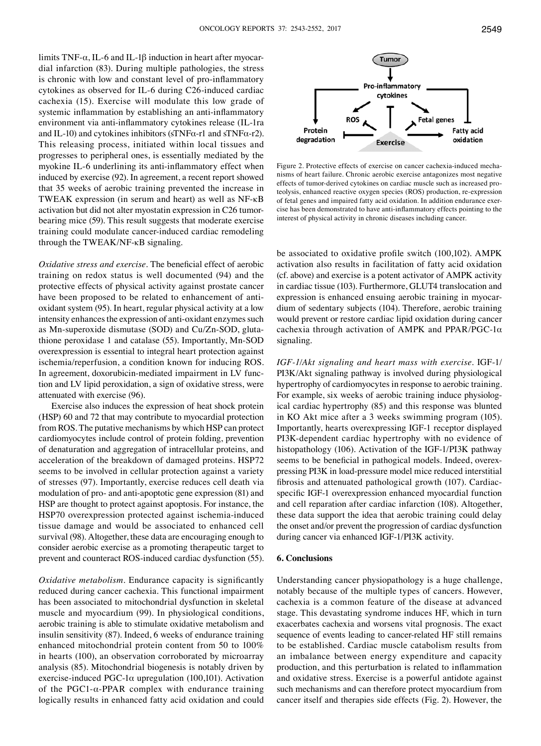limits TNF- $\alpha$ , IL-6 and IL-1 $\beta$  induction in heart after myocardial infarction (83). During multiple pathologies, the stress is chronic with low and constant level of pro-inflammatory cytokines as observed for IL-6 during C26-induced cardiac cachexia (15). Exercise will modulate this low grade of systemic inflammation by establishing an anti-inflammatory environment via anti-inflammatory cytokines release (IL-1ra and IL-10) and cytokines inhibitors (sTNFα-r1 and sTNFα-r2). This releasing process, initiated within local tissues and progresses to peripheral ones, is essentially mediated by the myokine IL-6 underlining its anti-inflammatory effect when induced by exercise (92). In agreement, a recent report showed that 35 weeks of aerobic training prevented the increase in TWEAK expression (in serum and heart) as well as NF-κB activation but did not alter myostatin expression in C26 tumorbearing mice (59). This result suggests that moderate exercise training could modulate cancer-induced cardiac remodeling through the TWEAK/NF-κB signaling.

*Oxidative stress and exercise.* The beneficial effect of aerobic training on redox status is well documented (94) and the protective effects of physical activity against prostate cancer have been proposed to be related to enhancement of antioxidant system (95). In heart, regular physical activity at a low intensity enhances the expression of anti-oxidant enzymes such as Mn-superoxide dismutase (SOD) and Cu/Zn-SOD, glutathione peroxidase 1 and catalase (55). Importantly, Mn-SOD overexpression is essential to integral heart protection against ischemia/reperfusion, a condition known for inducing ROS. In agreement, doxorubicin-mediated impairment in LV function and LV lipid peroxidation, a sign of oxidative stress, were attenuated with exercise (96).

Exercise also induces the expression of heat shock protein (HSP) 60 and 72 that may contribute to myocardial protection from ROS. The putative mechanisms by which HSP can protect cardiomyocytes include control of protein folding, prevention of denaturation and aggregation of intracellular proteins, and acceleration of the breakdown of damaged proteins. HSP72 seems to be involved in cellular protection against a variety of stresses (97). Importantly, exercise reduces cell death via modulation of pro- and anti-apoptotic gene expression (81) and HSP are thought to protect against apoptosis. For instance, the HSP70 overexpression protected against ischemia-induced tissue damage and would be associated to enhanced cell survival (98). Altogether, these data are encouraging enough to consider aerobic exercise as a promoting therapeutic target to prevent and counteract ROS-induced cardiac dysfunction (55).

*Oxidative metabolism*. Endurance capacity is significantly reduced during cancer cachexia. This functional impairment has been associated to mitochondrial dysfunction in skeletal muscle and myocardium (99). In physiological conditions, aerobic training is able to stimulate oxidative metabolism and insulin sensitivity (87). Indeed, 6 weeks of endurance training enhanced mitochondrial protein content from 50 to 100% in hearts (100), an observation corroborated by microarray analysis (85). Mitochondrial biogenesis is notably driven by exercise-induced PGC-1α upregulation (100,101). Activation of the PGC1-α-PPAR complex with endurance training logically results in enhanced fatty acid oxidation and could



Figure 2. Protective effects of exercise on cancer cachexia-induced mechanisms of heart failure. Chronic aerobic exercise antagonizes most negative effects of tumor-derived cytokines on cardiac muscle such as increased proteolysis, enhanced reactive oxygen species (ROS) production, re-expression of fetal genes and impaired fatty acid oxidation. In addition endurance exercise has been demonstrated to have anti-inflammatory effects pointing to the interest of physical activity in chronic diseases including cancer.

be associated to oxidative profile switch (100,102). AMPK activation also results in facilitation of fatty acid oxidation (cf. above) and exercise is a potent activator of AMPK activity in cardiac tissue (103). Furthermore, GLUT4 translocation and expression is enhanced ensuing aerobic training in myocardium of sedentary subjects (104). Therefore, aerobic training would prevent or restore cardiac lipid oxidation during cancer cachexia through activation of AMPK and PPAR/PGC-1α signaling.

*IGF-1/Akt signaling and heart mass with exercise*. IGF-1/ PI3K/Akt signaling pathway is involved during physiological hypertrophy of cardiomyocytes in response to aerobic training. For example, six weeks of aerobic training induce physiological cardiac hypertrophy (85) and this response was blunted in KO Akt mice after a 3 weeks swimming program (105). Importantly, hearts overexpressing IGF-1 receptor displayed PI3K-dependent cardiac hypertrophy with no evidence of histopathology (106). Activation of the IGF-1/PI3K pathway seems to be beneficial in pathogical models. Indeed, overexpressing PI3K in load-pressure model mice reduced interstitial fibrosis and attenuated pathological growth (107). Cardiacspecific IGF-1 overexpression enhanced myocardial function and cell reparation after cardiac infarction (108). Altogether, these data support the idea that aerobic training could delay the onset and/or prevent the progression of cardiac dysfunction during cancer via enhanced IGF-1/PI3K activity.

#### **6. Conclusions**

Understanding cancer physiopathology is a huge challenge, notably because of the multiple types of cancers. However, cachexia is a common feature of the disease at advanced stage. This devastating syndrome induces HF, which in turn exacerbates cachexia and worsens vital prognosis. The exact sequence of events leading to cancer-related HF still remains to be established. Cardiac muscle catabolism results from an imbalance between energy expenditure and capacity production, and this perturbation is related to inflammation and oxidative stress. Exercise is a powerful antidote against such mechanisms and can therefore protect myocardium from cancer itself and therapies side effects (Fig. 2). However, the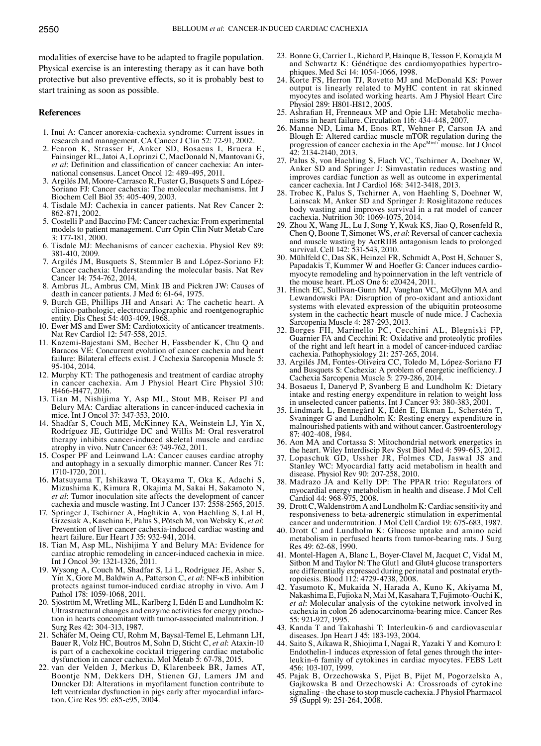modalities of exercise have to be adapted to fragile population. Physical exercise is an interesting therapy as it can have both protective but also preventive effects, so it is probably best to start training as soon as possible.

#### **References**

- 1. Inui A: Cancer anorexia-cachexia syndrome: Current issues in research and management. CA Cancer J Clin 52: 72-91, 2002.
- 2. Fearon K, Strasser F, Anker SD, Bosaeus I, Bruera E, Fainsinger RL, Jatoi A, Loprinzi C, MacDonald N, Mantovani G, *et al*: Definition and classification of cancer cachexia: An international consensus. Lancet Oncol 12: 489-495, 2011.
- 3. Argilés JM, Moore-Carrasco R, Fuster G, Busquets S and López-Soriano FJ: Cancer cachexia: The molecular mechanisms. Int J Biochem Cell Biol 35: 405-409, 2003.
- 4. Tisdale MJ: Cachexia in cancer patients. Nat Rev Cancer 2: 862-871, 2002.
- 5. Costelli P and Baccino FM: Cancer cachexia: From experimental models to patient management. Curr Opin Clin Nutr Metab Care 3: 177-181, 2000.
- 6. Tisdale MJ: Mechanisms of cancer cachexia. Physiol Rev 89: 381-410, 2009.
- 7. Argilés JM, Busquets S, Stemmler B and López-Soriano FJ: Cancer cachexia: Understanding the molecular basis. Nat Rev Cancer 14: 754-762, 2014.
- 8. Ambrus JL, Ambrus CM, Mink IB and Pickren JW: Causes of death in cancer patients. J Med 6: 61-64, 1975.
- 9. Burch GE, Phillips JH and Ansari A: The cachetic heart. A clinico-pathologic, electrocardiographic and roentgenographic entity. Dis Chest 54: 403-409, 1968.
- 10. Ewer MS and Ewer SM: Cardiotoxicity of anticancer treatments. Nat Rev Cardiol 12: 547-558, 2015.
- 11. Kazemi-Bajestani SM, Becher H, Fassbender K, Chu Q and Baracos VE: Concurrent evolution of cancer cachexia and heart failure: Bilateral effects exist. J Cachexia Sarcopenia Muscle 5: 95-104, 2014.
- 12. Murphy KT: The pathogenesis and treatment of cardiac atrophy in cancer cachexia. Am J Physiol Heart Circ Physiol 310: H466-H477, 2016.
- 13. Tian M, Nishijima Y, Asp ML, Stout MB, Reiser PJ and Belury MA: Cardiac alterations in cancer-induced cachexia in mice. Int J Oncol 37: 347-353, 2010.
- 14. Shadfar S, Couch ME, McKinney KA, Weinstein LJ, Yin X, Rodríguez JE, Guttridge DC and Willis M: Oral resveratrol therapy inhibits cancer-induced skeletal muscle and cardiac atrophy in vivo. Nutr Cancer 63: 749-762, 2011.
- 15. Cosper PF and Leinwand LA: Cancer causes cardiac atrophy and autophagy in a sexually dimorphic manner. Cancer Res 71: 1710-1720, 2011.
- 16. Matsuyama T, Ishikawa T, Okayama T, Oka K, Adachi S, Mizushima K, Kimura R, Okajima M, Sakai H, Sakamoto N, *et al*: Tumor inoculation site affects the development of cancer cachexia and muscle wasting. Int J Cancer 137: 2558-2565, 2015.
- 17. Springer J, Tschirner A, Haghikia A, von Haehling S, Lal H, Grzesiak A, Kaschina E, Palus S, Pötsch M, von Websky K, *et al*: Prevention of liver cancer cachexia-induced cardiac wasting and heart failure. Eur Heart J 35: 932-941, 2014.
- 18. Tian M, Asp ML, Nishijima Y and Belury MA: Evidence for cardiac atrophic remodeling in cancer-induced cachexia in mice. Int J Oncol 39: 1321-1326, 2011.
- 19. Wysong A, Couch M, Shadfar S, Li L, Rodriguez JE, Asher S, Yin X, Gore M, Baldwin A, Patterson C, *et al*: NF-κB inhibition protects against tumor-induced cardiac atrophy in vivo. Am J Pathol 178: 1059-1068, 2011.
- 20. Sjöström M, Wretling ML, Karlberg I, Edén E and Lundholm K: tion in hearts concomitant with tumor-associated malnutrition. J Surg Res 42: 304-313, 1987.
- 21. Schäfer M, Oeing CU, Rohm M, Baysal-Temel E, Lehmann LH, Bauer R, Volz HC, Boutros M, Sohn D, Sticht C, *et al*: Ataxin-10 is part of a cachexokine cocktail triggering cardiac metabolic dysfunction in cancer cachexia. Mol Metab 5: 67-78, 2015.
- 22. van der Velden J, Merkus D, Klarenbeek BR, James AT, Boontje NM, Dekkers DH, Stienen GJ, Lamers JM and Duncker DJ: Alterations in myofilament function contribute to left ventricular dysfunction in pigs early after myocardial infarc- tion. Circ Res 95: e85-e95, 2004.
- 23. Bonne G, Carrier L, Richard P, Hainque B, Tesson F, Komajda M and Schwartz K: Génétique des cardiomyopathies hypertro- phiques. Med sci 14: 1054-1066, 1998.
- 24. Korte FS, Herron TJ, Rovetto MJ and McDonald KS: Power output is linearly related to MyHC content in rat skinned myocytes and isolated working hearts. Am J Physiol Heart Circ Physiol 289: H801-H812, 2005.<br>25. Ashrafian H, Frenneaux MP and Opie LH: Metabolic mecha-
- nisms in heart failure. Circulation 116: 434-448, 2007.
- 26. Manne ND, Lima M, Enos RT, Wehner P, Carson JA and Blough E: Altered cardiac muscle mTOR regulation during the progression of cancer cachexia in the Apc<sup>Min/+</sup> mouse. Int J Oncol 42: 2134-2140, 2013.
- 27. Palus S, von Haehling S, Flach VC, Tschirner A, Doehner W, Anker SD and Springer J: Simvastatin reduces wasting and improves cardiac function as well as outcome in experimental cancer cachexia. Int J Cardiol 168: 3412-3418, 2013.
- 28. Trobec K, Palus S, Tschirner A, von Haehling S, Doehner W, Lainscak M, Anker SD and Springer J: Rosiglitazone reduces body wasting and improves survival in a rat model of cancer cachexia. Nutrition 30: 1069-1075, 2014.
- 29. Zhou X, Wang JL, Lu J, Song Y, Kwak KS, Jiao Q, Rosenfeld R, Chen Q, Boone T, Simonet WS, *et al*: Reversal of cancer cachexia and muscle wasting by ActRIIB antagonism leads to prolonged survival. Cell 142: 531-543, 2010.
- 30. Mühlfeld C, Das SK, Heinzel FR, Schmidt A, Post H, Schauer S, myocyte remodeling and hypoinnervation in the left ventricle of the mouse heart. PLoS One 6: e20424, 2011.
- 31. Hinch EC, Sullivan-Gunn MJ, Vaughan VC, McGlynn MA and Lewandowski PA: Disruption of pro-oxidant and antioxidant systems with elevated expression of the ubiquitin proteosome system in the cachectic heart muscle of nude mice. J Cachexia Sarcopenia Muscle 4: 287-293, 2013.
- 32. Borges FH, Marinello PC, Cecchini AL, Blegniski FP, Guarnier FA and Cecchini R: Oxidative and proteolytic profiles of the right and left heart in a model of cancer-induced cardiac cachexia. Pathophysiology 21: 257-265, 2014.
- 33. Argilés JM, Fontes-Oliveira CC, Toledo M, López-Soriano FJ and Busquets S: Cachexia: A problem of energetic inefficiency. J Cachexia Sarcopenia Muscle 5: 279-286, 2014.
- 34. Bosaeus I, Daneryd P, Svanberg E and Lundholm K: Dietary intake and resting energy expenditure in relation to weight loss in unselected cancer patients. Int J Cancer 93: 380-383, 2001.
- 35. Lindmark L, Bennegård K, Edén E, Ekman L, Scherstén T, Svaninger G and Lundholm K: Resting energy expenditure in malnourished patients with and without cancer. Gastroenterology 87: 402-408, 1984.
- 36. Aon MA and Cortassa S: Mitochondrial network energetics in the heart. Wiley Interdiscip Rev Syst Biol Med 4: 599-613, 2012.
- 37. Lopaschuk GD, Ussher JR, Folmes CD, Jaswal JS and Stanley WC: Myocardial fatty acid metabolism in health and disease. Physiol Rev 90: 207-258, 2010.
- 38. Madrazo JA and Kelly DP: The PPAR trio: Regulators of myocardial energy metabolism in health and disease. J Mol Cell Cardiol 44: 968-975, 2008.
- 39. Drott C, Waldenström A and Lundholm K: Cardiac sensitivity and responsiveness to beta-adrenergic stimulation in experimental cancer and undernutrition. J Mol Cell Cardiol 19: 675-683, 1987.
- 40. Drott C and Lundholm K: Glucose uptake and amino acid metabolism in perfused hearts from tumor-bearing rats. J Surg Res 49: 62-68, 1990.
- 41. Montel-Hagen A, Blanc L, Boyer-Clavel M, Jacquet C, Vidal M, Sitbon M and Taylor N: The Glut1 and Glut4 glucose transporters are differentially expressed during perinatal and postnatal eryth- ropoiesis. Blood 112: 4729-4738, 2008.
- 42. Yasumoto K, Mukaida N, Harada A, Kuno K, Akiyama M, Nakashima E, Fujioka N, Mai M, Kasahara T, Fujimoto-Ouchi K, *et al*: Molecular analysis of the cytokine network involved in cachexia in colon 26 adenocarcinoma-bearing mice. Cancer Res 55: 921-927, 1995.
- 43. Kanda T and Takahashi T: Interleukin-6 and cardiovascular diseases. Jpn Heart J 45: 183-193, 2004.
- 44. Saito S, Aikawa R, Shiojima I, Nagai R, Yazaki Y and Komuro I: Endothelin-1 induces expression of fetal genes through the inter- leukin-6 family of cytokines in cardiac myocytes. FEBS Lett 456: 103-107, 1999.
- 45. Pajak B, Orzechowska S, Pijet B, Pijet M, Pogorzelska A, Gajkowska B and Orzechowski A: Crossroads of cytokine signaling - the chase to stop muscle cachexia. J Physiol Pharmacol 59 (Suppl 9): 251-264, 2008.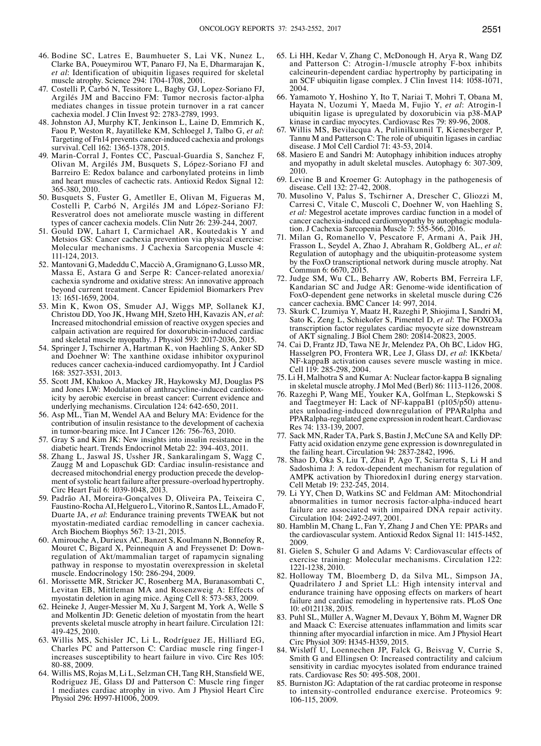- 46. Bodine SC, Latres E, Baumhueter S, Lai VK, Nunez L, Clarke BA, Poueymirou WT, Panaro FJ, Na E, Dharmarajan K, *et al*: Identification of ubiquitin ligases required for skeletal muscle atrophy. Science 294: 1704-1708, 2001.
- 47. Costelli P, Carbó N, Tessitore L, Bagby GJ, Lopez-Soriano FJ, Argilés JM and Baccino FM: Tumor necrosis factor-alpha mediates changes in tissue protein turnover in a rat cancer cachexia model. J Clin Invest 92: 2783-2789, 1993.
- 48. Johnston AJ, Murphy KT, Jenkinson L, Laine D, Emmrich K, Faou P, Weston R, Jayatilleke KM, Schloegel J, Talbo G, *et al*: Targeting of Fn14 prevents cancer-induced cachexia and prolongs survival. Cell 162: 1365-1378, 2015.
- 49. Marin-Corral J, Fontes CC, Pascual-Guardia S, Sanchez F, Olivan M, Argilés JM, Busquets S, López-Soriano FJ and Barreiro E: Redox balance and carbonylated proteins in limb and heart muscles of cachectic rats. Antioxid Redox Signal 12: 365-380, 2010.
- 50. Busquets S, Fuster G, Ametller E, Olivan M, Figueras M, Costelli P, Carbó N, Argilés JM and López-Soriano FJ: Resveratrol does not ameliorate muscle wasting in different types of cancer cachexia models. Clin Nutr 26: 239-244, 2007.
- 51. Gould DW, Lahart I, Carmichael AR, Koutedakis Y and Metsios GS: Cancer cachexia prevention via physical exercise: Molecular mechanisms. J Cachexia Sarcopenia Muscle 4: 111-124, 2013.
- 52. Mantovani G, Madeddu C, Macciò A, Gramignano G, Lusso MR, Massa E, Astara G and Serpe R: Cancer-related anorexia/ cachexia syndrome and oxidative stress: An innovative approach beyond current treatment. Cancer Epidemiol Biomarkers Prev 13: 1651-1659, 2004.
- 53. Min K, Kwon OS, Smuder AJ, Wiggs MP, Sollanek KJ, Christou DD, Yoo JK, Hwang MH, Szeto HH, Kavazis AN, *et al*: Increased mitochondrial emission of reactive oxygen species and calpain activation are required for doxorubicin-induced cardiac and skeletal muscle myopathy. J Physiol 593: 2017-2036, 2015.
- 54. Springer J, Tschirner A, Hartman K, von Haehling S, Anker SD and Doehner W: The xanthine oxidase inhibitor oxypurinol reduces cancer cachexia-induced cardiomyopathy. Int J Cardiol 168: 3527-3531, 2013.
- 55. Scott JM, Khakoo A, Mackey JR, Haykowsky MJ, Douglas PS and Jones LW: Modulation of anthracycline-induced cardiotoxicity by aerobic exercise in breast cancer: Current evidence and underlying mechanisms. Circulation 124: 642-650, 2011.
- 56. Asp ML, Tian M, Wendel AA and Belury MA: Evidence for the contribution of insulin resistance to the development of cachexia in tumor-bearing mice. Int J Cancer 126: 756-763, 2010.
- 57. Gray S and Kim JK: New insights into insulin resistance in the diabetic heart. Trends Endocrinol Metab 22: 394-403, 2011.
- 58. Zhang L, Jaswal JS, Ussher JR, Sankaralingam S, Wagg C, Zaugg M and Lopaschuk GD: Cardiac insulin-resistance and decreased mitochondrial energy production precede the development of systolic heart failure after pressure-overload hypertrophy. Circ Heart Fail 6: 1039-1048, 2013.
- 59. Padrão AI, Moreira-Gonçalves D, Oliveira PA, Teixeira C, Faustino-Rocha AI, Helguero L, Vitorino R, Santos LL, Amado F, Duarte JA, *et al*: Endurance training prevents TWEAK but not myostatin-mediated cardiac remodelling in cancer cachexia. Arch Biochem Biophys 567: 13-21, 2015.
- 60. Amirouche A, Durieux AC, Banzet S, Koulmann N, Bonnefoy R, Mouret C, Bigard X, Peinnequin A and Freyssenet D: Downregulation of Akt/mammalian target of rapamycin signaling pathway in response to myostatin overexpression in skeletal muscle. Endocrinology 150: 286-294, 2009.
- 61. Morissette MR, Stricker JC, Rosenberg MA, Buranasombati C, Levitan EB, Mittleman MA and Rosenzweig A: Effects of myostatin deletion in aging mice. Aging Cell 8: 573-583, 2009.
- 62. Heineke J, Auger-Messier M, Xu J, Sargent M, York A, Welle S and Molkentin JD: Genetic deletion of myostatin from the heart prevents skeletal muscle atrophy in heart failure. Circulation 121: 419-425, 2010.
- 63. Willis MS, Schisler JC, Li L, Rodríguez JE, Hilliard EG, Charles PC and Patterson C: Cardiac muscle ring finger-1 increases susceptibility to heart failure in vivo. Circ Res 105: 80-88, 2009.
- 64. Willis MS, Rojas M, Li L, Selzman CH, Tang RH, Stansfield WE, Rodriguez JE, Glass DJ and Patterson C: Muscle ring finger 1 mediates cardiac atrophy in vivo. Am J Physiol Heart Circ Physiol 296: H997-H1006, 2009.
- 65. Li HH, Kedar V, Zhang C, McDonough H, Arya R, Wang DZ and Patterson C: Atrogin-1/muscle atrophy F-box inhibits calcineurin-dependent cardiac hypertrophy by participating in an SCF ubiquitin ligase complex. J Clin Invest 114: 1058-1071, 2004.
- 66. Yamamoto Y, Hoshino Y, Ito T, Nariai T, Mohri T, Obana M, Hayata N, Uozumi Y, Maeda M, Fujio Y, *et al*: Atrogin-1 ubiquitin ligase is upregulated by doxorubicin via p38-MAP kinase in cardiac myocytes. Cardiovasc Res 79: 89-96, 2008.
- 67. Willis MS, Bevilacqua A, Pulinilkunnil T, Kienesberger P, Tannu M and Patterson C: The role of ubiquitin ligases in cardiac disease. J Mol Cell Cardiol 71: 43-53, 2014.
- 68. Masiero E and Sandri M: Autophagy inhibition induces atrophy and myopathy in adult skeletal muscles. Autophagy 6: 307-309, 2010.
- 69. Levine B and Kroemer G: Autophagy in the pathogenesis of disease. Cell 132: 27-42, 2008.
- 70. Musolino V, Palus S, Tschirner A, Drescher C, Gliozzi M, Carresi C, Vitale C, Muscoli C, Doehner W, von Haehling S, *et al:* Megestrol acetate improves cardiac function in a model of cancer cachexia-induced cardiomyopathy by autophagic modulation. J Cachexia Sarcopenia Muscle 7: 555-566, 2016.
- 71. Milan G, Romanello V, Pescatore F, Armani A, Paik JH, Frasson L, Seydel A, Zhao J, Abraham R, Goldberg AL, *et al*: Regulation of autophagy and the ubiquitin-proteasome system by the FoxO transcriptional network during muscle atrophy. Nat Commun 6: 6670, 2015.
- 72. Judge SM, Wu CL, Beharry AW, Roberts BM, Ferreira LF, Kandarian SC and Judge AR: Genome-wide identification of FoxO-dependent gene networks in skeletal muscle during C26 cancer cachexia. BMC Cancer 14: 997, 2014.
- 73. Skurk C, Izumiya Y, Maatz H, Razeghi P, Shiojima I, Sandri M, Sato K, Zeng L, Schiekofer S, Pimentel D, *et al*: The FOXO3a transcription factor regulates cardiac myocyte size downstream of AKT signaling. J Biol Chem 280: 20814-20823, 2005.
- 74. Cai D, Frantz JD, Tawa NE Jr, Melendez PA, Oh BC, Lidov HG, Hasselgren PO, Frontera WR, Lee J, Glass DJ, *et al*: IKKbeta/ NF-kappaB activation causes severe muscle wasting in mice. Cell 119: 285-298, 2004.
- 75. Li H, Malhotra S and Kumar A: Nuclear factor-kappa B signaling in skeletal muscle atrophy. J Mol Med (Berl) 86:  $1\overline{1}$ 13-1126, 2008.
- 76. Razeghi P, Wang ME, Youker KA, Golfman L, Stepkowski S and Taegtmeyer H: Lack of NF-kappaB1 (p105/p50) attenuates unloading-induced downregulation of PPARalpha and PPARalpha-regulated gene expression in rodent heart. Cardiovasc Res 74: 133-139, 2007.
- 77. Sack MN, Rader TA, Park S, Bastin J, McCune SA and Kelly DP: Fatty acid oxidation enzyme gene expression is downregulated in the failing heart. Circulation 94: 2837-2842, 1996.
- 78. Shao D, Oka S, Liu T, Zhai P, Ago T, Sciarretta S, Li H and Sadoshima J: A redox-dependent mechanism for regulation of AMPK activation by Thioredoxin1 during energy starvation. Cell Metab 19: 232-245, 2014.
- 79. Li YY, Chen D, Watkins SC and Feldman AM: Mitochondrial abnormalities in tumor necrosis factor-alpha-induced heart failure are associated with impaired DNA repair activity. Circulation 104: 2492-2497, 2001.
- 80. Hamblin M, Chang L, Fan Y, Zhang J and Chen YE: PPARs and the cardiovascular system. Antioxid Redox Signal 11: 1415-1452, 2009.
- 81. Gielen S, Schuler G and Adams V: Cardiovascular effects of exercise training: Molecular mechanisms. Circulation 122: 1221-1238, 2010.
- 82. Holloway TM, Bloemberg D, da Silva ML, Simpson JA, Quadrilatero J and Spriet LL: High intensity interval and endurance training have opposing effects on markers of heart failure and cardiac remodeling in hypertensive rats. PLoS One 10: e0121138, 2015.
- 83. Puhl SL, Müller A, Wagner M, Devaux Y, Böhm M, Wagner DR and Maack C: Exercise attenuates inflammation and limits scar thinning after myocardial infarction in mice. Am J Physiol Heart Circ Physiol 309: H345-H359, 2015.
- 84. Wisløff U, Loennechen JP, Falck G, Beisvag V, Currie S, Smith G and Ellingsen O: Increased contractility and calcium sensitivity in cardiac myocytes isolated from endurance trained rats. Cardiovasc Res 50: 495-508, 2001.
- 85. Burniston JG: Adaptation of the rat cardiac proteome in response to intensity-controlled endurance exercise. Proteomics 9: 106-115, 2009.